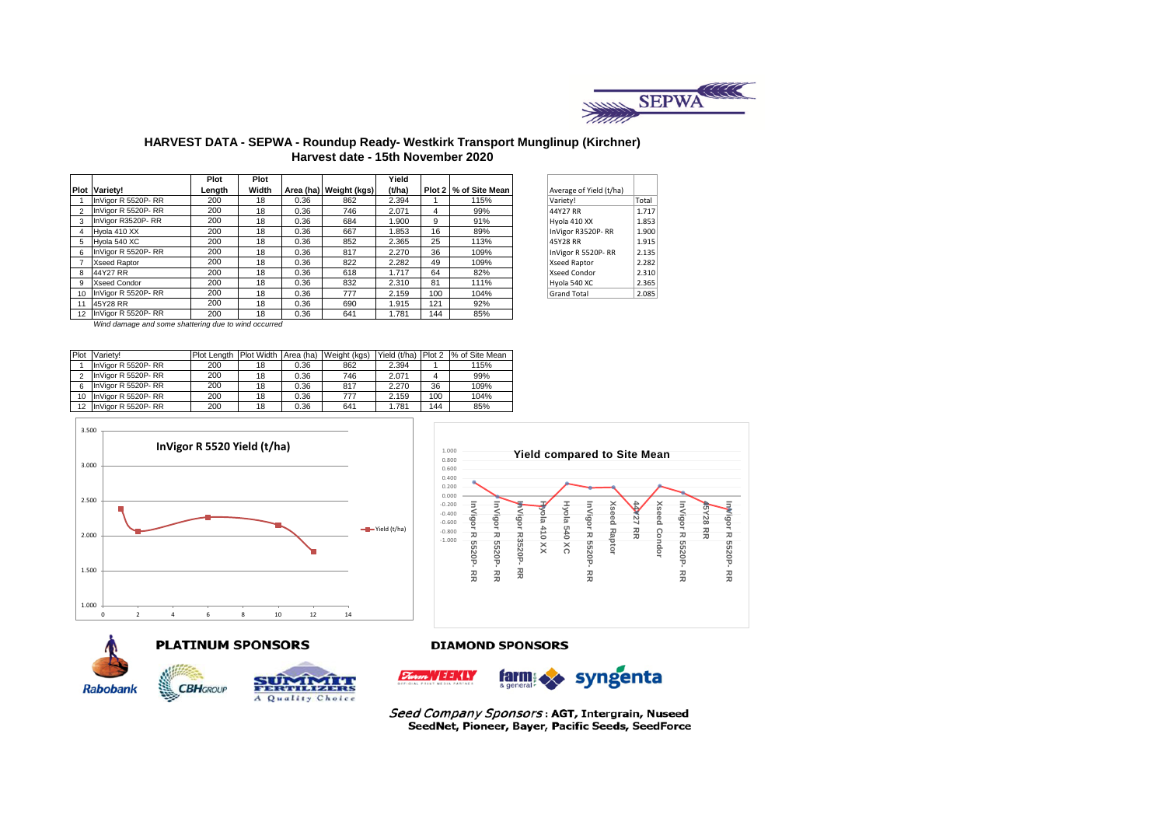

## **HARVEST DATA - SEPWA - Roundup Ready- Westkirk Transport Munglinup (Kirchner) Harvest date - 15th November 2020**

|                |                      | Plot   | Plot  |      |                        | Yield  |     |                       |                         |       |
|----------------|----------------------|--------|-------|------|------------------------|--------|-----|-----------------------|-------------------------|-------|
|                | <b>Plot Variety!</b> | Length | Width |      | Area (ha) Weight (kgs) | (t/ha) |     | Plot 2 % of Site Mean | Average of Yield (t/ha) |       |
|                | InVigor R 5520P-RR   | 200    | 18    | 0.36 | 862                    | 2.394  |     | 115%                  | Variety!                | Total |
| $\overline{2}$ | InVigor R 5520P-RR   | 200    | 18    | 0.36 | 746                    | 2.071  | 4   | 99%                   | 44Y27 RR                | 1.717 |
| 3              | InVigor R3520P-RR    | 200    | 18    | 0.36 | 684                    | 1.900  | 9   | 91%                   | Hyola 410 XX            | 1.853 |
| 4              | Hvola 410 XX         | 200    | 18    | 0.36 | 667                    | 1.853  | 16  | 89%                   | InVigor R3520P-RR       | 1.900 |
| 5              | Hvola 540 XC         | 200    | 18    | 0.36 | 852                    | 2.365  | 25  | 113%                  | 45Y28 RR                | 1.915 |
| 6              | InVigor R 5520P-RR   | 200    | 18    | 0.36 | 817                    | 2.270  | 36  | 109%                  | InVigor R 5520P-RR      | 2.135 |
|                | <b>Xseed Raptor</b>  | 200    | 18    | 0.36 | 822                    | 2.282  | 49  | 109%                  | Xseed Raptor            | 2.282 |
| 8              | 44Y27 RR             | 200    | 18    | 0.36 | 618                    | 1.717  | 64  | 82%                   | Xseed Condor            | 2.310 |
| 9              | <b>Xseed Condor</b>  | 200    | 18    | 0.36 | 832                    | 2.310  | 81  | 111%                  | Hyola 540 XC            | 2.365 |
| 10             | InVigor R 5520P-RR   | 200    | 18    | 0.36 | 777                    | 2.159  | 100 | 104%                  | <b>Grand Total</b>      | 2.085 |
| 11             | 45Y28 RR             | 200    | 18    | 0.36 | 690                    | 1.915  | 121 | 92%                   |                         |       |
| 12             | InVigor R 5520P-RR   | 200    | 18    | 0.36 | 641                    | 1.781  | 144 | 85%                   |                         |       |

| Average of Yield (t/ha) |       |
|-------------------------|-------|
| Variety!                | Total |
| 44Y27 RR                | 1.717 |
| Hyola 410 XX            | 1.853 |
| InVigor R3520P-RR       | 1.900 |
| 45Y28 RR                | 1.915 |
| InVigor R 5520P-RR      | 2.135 |
| <b>Xseed Raptor</b>     | 2.282 |
| Xseed Condor            | 2.310 |
| Hyola 540 XC            | 2.365 |
| <b>Grand Total</b>      | 2.085 |

*Wind damage and some shattering due to wind occurred*

| Plot | Varietv!              | Plot Lenath | Plot Width Area (ha) |      | Weight (kgs) | Yield (t/ha) | Plot 2 | % of Site Mean |
|------|-----------------------|-------------|----------------------|------|--------------|--------------|--------|----------------|
|      | InVigor R 5520P-RR    | 200         | 18                   | 0.36 | 862          | 2.394        |        | 115%           |
|      | InVigor R 5520P-RR    | 200         | 18                   | 0.36 | 746          | 2.071        |        | 99%            |
|      | InVigor R 5520P-RR    | 200         | 18                   | 0.36 | 817          | 2.270        | 36     | 109%           |
|      | 10 InVigor R 5520P-RR | 200         | 18                   | 0.36 | 777          | 2.159        | 100    | 104%           |
| 12   | InVigor R 5520P-RR    | 200         | 18                   | 0.36 | 641          | 1.781        | 144    | 85%            |







### **PLATINUM SPONSORS**

**CBH**GROUP



#### **DIAMOND SPONSORS**



Seed Company Sponsors: AGT, Intergrain, Nuseed SeedNet, Pioneer, Bayer, Pacific Seeds, SeedForce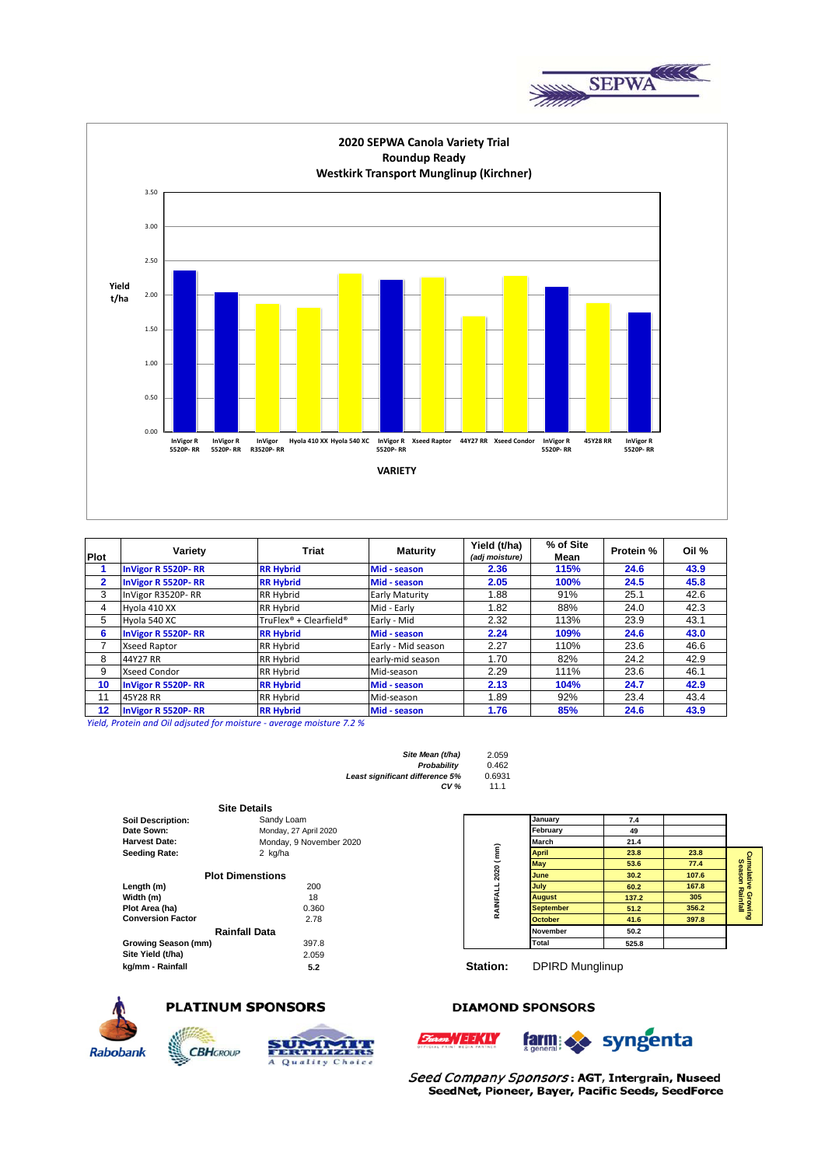



| <b>Plot</b>  | Variety                   | Triat                  | <b>Maturity</b>    | Yield (t/ha)<br>(adj moisture) | % of Site<br>Mean | Protein % | Oil % |
|--------------|---------------------------|------------------------|--------------------|--------------------------------|-------------------|-----------|-------|
|              | <b>InVigor R 5520P-RR</b> | <b>RR Hybrid</b>       | Mid - season       | 2.36                           | 115%              | 24.6      | 43.9  |
| $\mathbf{2}$ | <b>InVigor R 5520P-RR</b> | <b>RR Hybrid</b>       | Mid - season       | 2.05                           | 100%              | 24.5      | 45.8  |
| 3            | InVigor R3520P-RR         | <b>RR Hybrid</b>       | Early Maturity     | 1.88                           | 91%               | 25.1      | 42.6  |
| 4            | Hyola 410 XX              | <b>RR Hybrid</b>       | Mid - Early        | 1.82                           | 88%               | 24.0      | 42.3  |
| 5            | Hyola 540 XC              | TruFlex® + Clearfield® | Early - Mid        | 2.32                           | 113%              | 23.9      | 43.1  |
| 6            | <b>InVigor R 5520P-RR</b> | <b>RR Hybrid</b>       | Mid - season       | 2.24                           | 109%              | 24.6      | 43.0  |
|              | <b>Xseed Raptor</b>       | <b>RR Hybrid</b>       | Early - Mid season | 2.27                           | 110%              | 23.6      | 46.6  |
| 8            | 44Y27 RR                  | <b>RR Hybrid</b>       | early-mid season   | 1.70                           | 82%               | 24.2      | 42.9  |
| 9            | <b>Xseed Condor</b>       | <b>RR Hybrid</b>       | Mid-season         | 2.29                           | 111%              | 23.6      | 46.1  |
| 10           | <b>InVigor R 5520P-RR</b> | <b>RR Hybrid</b>       | Mid - season       | 2.13                           | 104%              | 24.7      | 42.9  |
| 11           | 45Y28 RR                  | <b>RR Hybrid</b>       | Mid-season         | 1.89                           | 92%               | 23.4      | 43.4  |
| 12           | <b>InVigor R 5520P-RR</b> | <b>RR Hybrid</b>       | Mid - season       | 1.76                           | 85%               | 24.6      | 43.9  |

Yield, Protein and Oil adjsuted for moisture - average moisture 7.2 %

| 2.059  |
|--------|
| 0.462  |
| 0.6931 |
| 11 1   |
|        |

|                          | <b>Site Details</b>     |  |  |  |
|--------------------------|-------------------------|--|--|--|
| <b>Soil Description:</b> | Sandy Loam              |  |  |  |
| Date Sown:               | Monday, 27 April 2020   |  |  |  |
| <b>Harvest Date:</b>     | Monday, 9 November 2020 |  |  |  |
| <b>Seeding Rate:</b>     | 2 kg/ha                 |  |  |  |
|                          |                         |  |  |  |
|                          | <b>Plot Dimenstions</b> |  |  |  |
| Length (m)               | 200                     |  |  |  |
| Width (m)                | 18                      |  |  |  |
| Plot Area (ha)           | 0.360                   |  |  |  |
| <b>Conversion Factor</b> | 2.78                    |  |  |  |
|                          | Rainfall Data           |  |  |  |
| Growing Season (mm)      | 397.8                   |  |  |  |
| Site Yield (t/ha)        | 2.059                   |  |  |  |
| kg/mm - Rainfall         | 5.2                     |  |  |  |



**Rabobank** 

# **PLATINUM SPONSORS**

**CBH**GROUP



## **DIAMOND SPONSORS**

*m* // 11/(4)



Seed Company Sponsors: AGT, Intergrain, Nuseed SeedNet, Pioneer, Bayer, Pacific Seeds, SeedForce